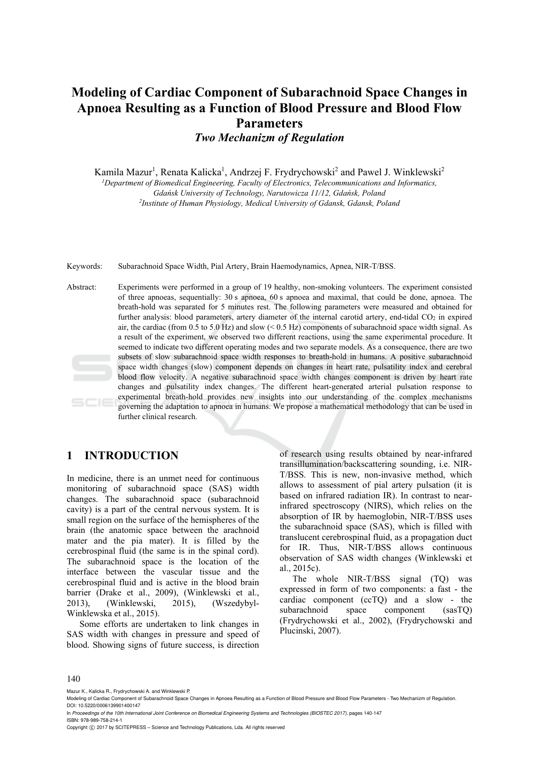# **Modeling of Cardiac Component of Subarachnoid Space Changes in Apnoea Resulting as a Function of Blood Pressure and Blood Flow Parameters**  *Two Mechanizm of Regulation*

Kamila Mazur<sup>1</sup>, Renata Kalicka<sup>1</sup>, Andrzej F. Frydrychowski<sup>2</sup> and Pawel J. Winklewski<sup>2</sup>

*1 Department of Biomedical Engineering, Faculty of Electronics, Telecommunications and Informatics, Gdańsk University of Technology, Narutowicza 11/12, Gdańsk, Poland 2Institute of Human Physiology, Medical University of Gdansk, Gdansk, Poland* 

Keywords: Subarachnoid Space Width, Pial Artery, Brain Haemodynamics, Apnea, NIR-T/BSS.

Abstract: Experiments were performed in a group of 19 healthy, non-smoking volunteers. The experiment consisted of three apnoeas, sequentially: 30 s apnoea, 60 s apnoea and maximal, that could be done, apnoea. The breath-hold was separated for 5 minutes rest. The following parameters were measured and obtained for further analysis: blood parameters, artery diameter of the internal carotid artery, end-tidal CO<sub>2</sub> in expired air, the cardiac (from 0.5 to 5.0 Hz) and slow  $(< 0.5$  Hz) components of subarachnoid space width signal. As a result of the experiment, we observed two different reactions, using the same experimental procedure. It seemed to indicate two different operating modes and two separate models. As a consequence, there are two subsets of slow subarachnoid space width responses to breath-hold in humans. A positive subarachnoid space width changes (slow) component depends on changes in heart rate, pulsatility index and cerebral blood flow velocity. A negative subarachnoid space width changes component is driven by heart rate changes and pulsatility index changes. The different heart-generated arterial pulsation response to experimental breath-hold provides new insights into our understanding of the complex mechanisms governing the adaptation to apnoea in humans. We propose a mathematical methodology that can be used in further clinical research.

### **1 INTRODUCTION**

In medicine, there is an unmet need for continuous monitoring of subarachnoid space (SAS) width changes. The subarachnoid space (subarachnoid cavity) is a part of the central nervous system. It is small region on the surface of the hemispheres of the brain (the anatomic space between the arachnoid mater and the pia mater). It is filled by the cerebrospinal fluid (the same is in the spinal cord). The subarachnoid space is the location of the interface between the vascular tissue and the cerebrospinal fluid and is active in the blood brain barrier (Drake et al., 2009), (Winklewski et al., 2013), (Winklewski, 2015), (Wszedybyl-Winklewska et al., 2015).

Some efforts are undertaken to link changes in SAS width with changes in pressure and speed of blood. Showing signs of future success, is direction

of research using results obtained by near-infrared transillumination/backscattering sounding, i.e. NIR-T/BSS. This is new, non-invasive method, which allows to assessment of pial artery pulsation (it is based on infrared radiation IR). In contrast to nearinfrared spectroscopy (NIRS), which relies on the absorption of IR by haemoglobin, NIR-T/BSS uses the subarachnoid space (SAS), which is filled with translucent cerebrospinal fluid, as a propagation duct for IR. Thus, NIR-T/BSS allows continuous observation of SAS width changes (Winklewski et al., 2015c).

The whole NIR-T/BSS signal (TQ) was expressed in form of two components: a fast - the cardiac component (ccTQ) and a slow - the subarachnoid space component (sasTQ) (Frydrychowski et al., 2002), (Frydrychowski and Plucinski, 2007).

#### 140

Mazur K., Kalicka R., Frydrychowski A. and Winklewski P.

Modeling of Cardiac Component of Subarachnoid Space Changes in Apnoea Resulting as a Function of Blood Pressure and Blood Flow Parameters - Two Mechanizm of Regulation. DOI: 10.5220/0006139901400147

In *Proceedings of the 10th International Joint Conference on Biomedical Engineering Systems and Technologies (BIOSTEC 2017)*, pages 140-147 ISBN: 978-989-758-214-1

Copyright C 2017 by SCITEPRESS - Science and Technology Publications, Lda. All rights reserved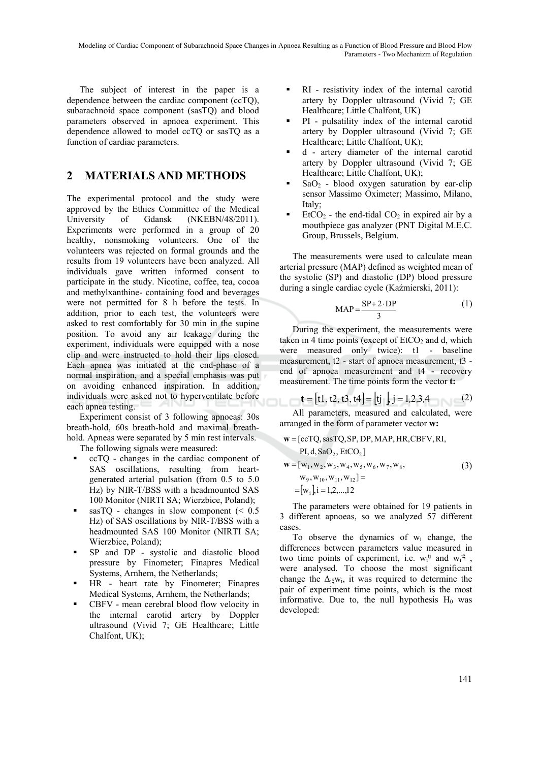The subject of interest in the paper is a dependence between the cardiac component (ccTQ), subarachnoid space component (sasTQ) and blood parameters observed in apnoea experiment. This dependence allowed to model ccTQ or sasTQ as a function of cardiac parameters.

# **2 MATERIALS AND METHODS**

The experimental protocol and the study were approved by the Ethics Committee of the Medical University of Gdansk (NKEBN/48/2011). Experiments were performed in a group of 20 healthy, nonsmoking volunteers. One of the volunteers was rejected on formal grounds and the results from 19 volunteers have been analyzed. All individuals gave written informed consent to participate in the study. Nicotine, coffee, tea, cocoa and methylxanthine- containing food and beverages were not permitted for 8 h before the tests. In addition, prior to each test, the volunteers were asked to rest comfortably for 30 min in the supine position. To avoid any air leakage during the experiment, individuals were equipped with a nose clip and were instructed to hold their lips closed. Each apnea was initiated at the end-phase of a normal inspiration, and a special emphasis was put on avoiding enhanced inspiration. In addition, individuals were asked not to hyperventilate before each apnea testing.

Experiment consist of 3 following apnoeas: 30s breath-hold, 60s breath-hold and maximal breathhold. Apneas were separated by 5 min rest intervals. The following signals were measured:

- ccTQ changes in the cardiac component of SAS oscillations, resulting from heartgenerated arterial pulsation (from 0.5 to 5.0 Hz) by NIR-T/BSS with a headmounted SAS 100 Monitor (NIRTI SA; Wierzbice, Poland);
- sasTO changes in slow component  $\approx 0.5$ Hz) of SAS oscillations by NIR-T/BSS with a headmounted SAS 100 Monitor (NIRTI SA; Wierzbice, Poland);
- SP and DP systolic and diastolic blood pressure by Finometer; Finapres Medical Systems, Arnhem, the Netherlands;
- HR heart rate by Finometer; Finapres Medical Systems, Arnhem, the Netherlands;
- CBFV mean cerebral blood flow velocity in the internal carotid artery by Doppler ultrasound (Vivid 7; GE Healthcare; Little Chalfont, UK);
- RI resistivity index of the internal carotid artery by Doppler ultrasound (Vivid 7; GE Healthcare; Little Chalfont, UK)
- PI pulsatility index of the internal carotid artery by Doppler ultrasound (Vivid 7; GE Healthcare; Little Chalfont, UK);
- d artery diameter of the internal carotid artery by Doppler ultrasound (Vivid 7; GE Healthcare; Little Chalfont, UK);
- $SaO<sub>2</sub>$  blood oxygen saturation by ear-clip sensor Massimo Oximeter; Massimo, Milano, Italy;
- $EtCO<sub>2</sub>$  the end-tidal  $CO<sub>2</sub>$  in expired air by a mouthpiece gas analyzer (PNT Digital M.E.C. Group, Brussels, Belgium.

The measurements were used to calculate mean arterial pressure (MAP) defined as weighted mean of the systolic (SP) and diastolic (DP) blood pressure during a single cardiac cycle (Kaźmierski, 2011):

$$
MAP = \frac{SP + 2 \cdot DP}{3} \tag{1}
$$

During the experiment, the measurements were taken in 4 time points (except of  $EtCO<sub>2</sub>$  and d, which were measured only twice): t1 - baseline measurement, t2 - start of apnoea measurement, t3 end of apnoea measurement and t4 - recovery measurement. The time points form the vector **t:**

$$
\mathbf{t} = [t1, t2, t3, t4] = [tj \quad j = 1, 2, 3, 4 \quad (2)
$$

All parameters, measured and calculated, were arranged in the form of parameter vector **w:**

$$
\mathbf{w} = [\text{ccTQ}, \text{ssaTQ}, \text{SP}, \text{DP}, \text{MAP}, \text{HR}, \text{CBFV}, \text{RI},
$$
  
\nPI, d, 
$$
\text{SaO}_2, \text{EtCO}_2]
$$
  
\n
$$
\mathbf{w} = [w_1, w_2, w_3, w_4, w_5, w_6, w_7, w_8,
$$
  
\n
$$
w_9, w_{10}, w_{11}, w_{12}] =
$$
  
\n
$$
= [w_i]_i = 1, 2, \dots, 12
$$
\n(3)

The parameters were obtained for 19 patients in 3 different apnoeas, so we analyzed 57 different cases.

To observe the dynamics of wi change, the differences between parameters value measured in two time points of experiment, i.e.  $w_i$ <sup>tj</sup> and  $w_i$ <sup>t<sup>g</sup>,</sup> were analysed. To choose the most significant change the  $\Delta_i$ <sub>*ξW<sub>i</sub></sub>*, it was required to determine the</sub> pair of experiment time points, which is the most informative. Due to, the null hypothesis  $H_0$  was developed: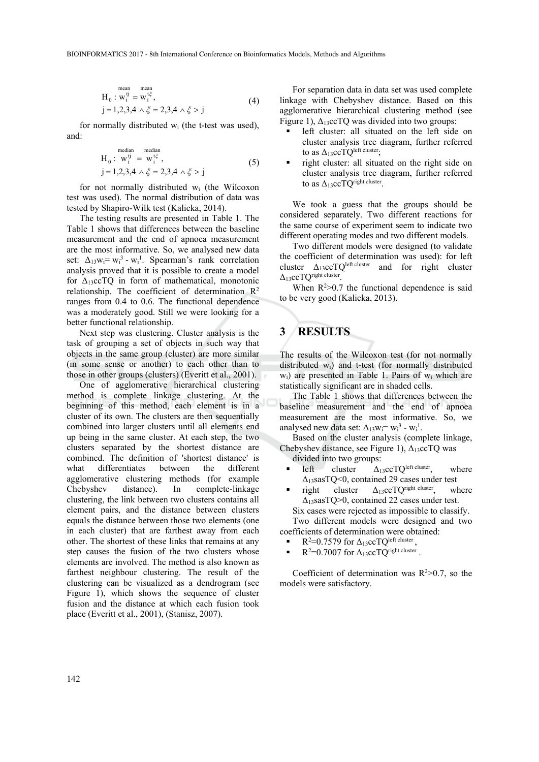$$
H_0: w_i^{ij} = w_i^{i\xi},
$$
  
\n
$$
j = 1,2,3,4 \wedge \xi = 2,3,4 \wedge \xi > j
$$
 (4)

for normally distributed wi (the t-test was used), and:

$$
H_0: w_i^{tj} = w_i^{t\xi},
$$
  
\n
$$
j = 1,2,3,4 \land \xi = 2,3,4 \land \xi > j
$$
\n(5)

for not normally distributed wi (the Wilcoxon test was used). The normal distribution of data was tested by Shapiro-Wilk test (Kalicka, 2014).

The testing results are presented in Table 1. The Table 1 shows that differences between the baseline measurement and the end of apnoea measurement are the most informative. So, we analysed new data set:  $\Delta_{13}$ w<sub>i</sub>= w<sub>i</sub><sup>1</sup> - w<sub>i</sub><sup>1</sup>. Spearman's rank correlation analysis proved that it is possible to create a model for  $\Delta_{13}$ ccTQ in form of mathematical, monotonic relationship. The coefficient of determination  $R^2$ ranges from 0.4 to 0.6. The functional dependence was a moderately good. Still we were looking for a better functional relationship.

Next step was clustering. Cluster analysis is the task of grouping a set of objects in such way that objects in the same group (cluster) are more similar (in some sense or another) to each other than to those in other groups (clusters) (Everitt et al., 2001).

One of agglomerative hierarchical clustering method is complete linkage clustering. At the beginning of this method, each element is in a cluster of its own. The clusters are then sequentially combined into larger clusters until all elements end up being in the same cluster. At each step, the two clusters separated by the shortest distance are combined. The definition of 'shortest distance' is what differentiates between the different agglomerative clustering methods (for example Chebyshev distance). In complete-linkage clustering, the link between two clusters contains all element pairs, and the distance between clusters equals the distance between those two elements (one in each cluster) that are farthest away from each other. The shortest of these links that remains at any step causes the fusion of the two clusters whose elements are involved. The method is also known as farthest neighbour clustering. The result of the clustering can be visualized as a dendrogram (see Figure 1), which shows the sequence of cluster fusion and the distance at which each fusion took place (Everitt et al., 2001), (Stanisz, 2007).

For separation data in data set was used complete linkage with Chebyshev distance. Based on this agglomerative hierarchical clustering method (see Figure 1),  $\Delta_{13}$ ccTQ was divided into two groups:

- left cluster: all situated on the left side on cluster analysis tree diagram, further referred to as  $\Delta_1$ 3ccTQ<sup>left cluster</sup>:
- right cluster: all situated on the right side on cluster analysis tree diagram, further referred to as  $\Delta_1$ 3ccTO<sup>right cluster</sup>.

We took a guess that the groups should be considered separately. Two different reactions for the same course of experiment seem to indicate two different operating modes and two different models.

Two different models were designed (to validate the coefficient of determination was used): for left cluster  $\Delta_{13}$ ccTQ<sup>left cluster</sup> and for right cluster Δ13ccTQright cluster.

When  $R^2 > 0.7$  the functional dependence is said to be very good (Kalicka, 2013).

# **3 RESULTS**

The results of the Wilcoxon test (for not normally distributed wi) and t-test (for normally distributed w<sub>i</sub>) are presented in Table 1. Pairs of w<sub>i</sub> which are statistically significant are in shaded cells.

The Table 1 shows that differences between the baseline measurement and the end of apnoea measurement are the most informative. So, we analysed new data set:  $\Delta_{13}w_i = w_i^3 - w_i^1$ .

Based on the cluster analysis (complete linkage, Chebyshev distance, see Figure 1),  $\Delta_{13}$ ccTQ was divided into two groups:

- left cluster  $\Delta_{13}$ ccTQ<sup>left cluster</sup>, where Δ13sasTQ<0, contained 29 cases under test
- right cluster  $\Delta_{13}$ ccTQ<sup>right cluster</sup>, where Δ13sasTQ>0, contained 22 cases under test. Six cases were rejected as impossible to classify.

Two different models were designed and two coefficients of determination were obtained:

- R<sup>2</sup>=0.7579 for  $\Delta_{13}$ ccTQ<sup>left cluster</sup>,
- $\blacksquare$  R<sup>2</sup>=0.7007 for  $\Delta_{13}$ ccTQ<sup>right cluster</sup>.

Coefficient of determination was  $R^2 > 0.7$ , so the models were satisfactory.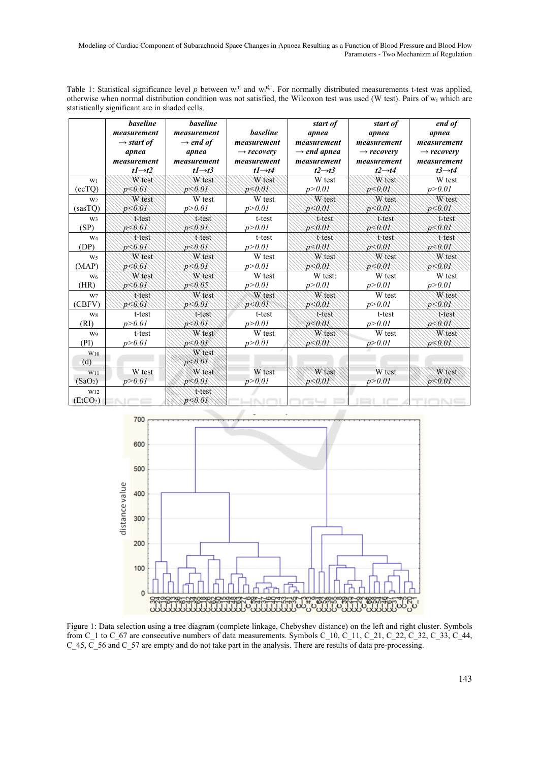Modeling of Cardiac Component of Subarachnoid Space Changes in Apnoea Resulting as a Function of Blood Pressure and Blood Flow Parameters - Two Mechanizm of Regulation

Table 1: Statistical significance level p between  $w_i^{tj}$  and  $w_i^{t\xi}$ . For normally distributed measurements t-test was applied, otherwise when normal distribution condition was not satisfied, the Wilcoxon test was used (W test). Pairs of wi which are statistically significant are in shaded cells.

|                                         | <b>baseline</b><br>measurement<br>$\rightarrow$ start of<br>apnea<br>measurement<br>$t1 \rightarrow t2$ | <b>baseline</b><br>measurement<br>$\rightarrow$ end of<br>apnea<br>measurement<br>$t1 \rightarrow t3$ | <b>baseline</b><br>measurement<br>$\rightarrow$ recovery<br>measurement<br>$t1 \rightarrow t4$ | start of<br>apnea<br>measurement<br>$\rightarrow$ end apnea<br>measurement<br>$t2 \rightarrow t3$ | start of<br>apnea<br>measurement<br>$\rightarrow$ recovery<br>measurement<br>$t2 \rightarrow t4$ | end of<br>apnea<br>measurement<br>$\rightarrow$ recovery<br>measurement<br>$t3 \rightarrow t4$ |
|-----------------------------------------|---------------------------------------------------------------------------------------------------------|-------------------------------------------------------------------------------------------------------|------------------------------------------------------------------------------------------------|---------------------------------------------------------------------------------------------------|--------------------------------------------------------------------------------------------------|------------------------------------------------------------------------------------------------|
| W <sub>1</sub>                          | W test                                                                                                  | W test                                                                                                | W test                                                                                         | W test                                                                                            | W test                                                                                           | W test                                                                                         |
| (ccTQ)                                  | p < 0.01                                                                                                | p < 0.01                                                                                              | p < 0.01                                                                                       | p > 0.01                                                                                          | p<0.01                                                                                           | p > 0.01                                                                                       |
| W <sub>2</sub>                          | W test                                                                                                  | W test                                                                                                | W test                                                                                         | W test                                                                                            | W test                                                                                           | W test                                                                                         |
| (sasTQ)                                 | p < 0.01                                                                                                | p > 0.01                                                                                              | p > 0.01                                                                                       | p < 0.01                                                                                          | p<0.01                                                                                           | p < 0.01                                                                                       |
| W <sub>3</sub>                          | t-test                                                                                                  | t-test                                                                                                | t-test                                                                                         | t-test                                                                                            | t-test                                                                                           | t-test                                                                                         |
| (SP)                                    | p < 0.01                                                                                                | p<0.01                                                                                                | p > 0.01                                                                                       | p < 0.01                                                                                          | p<0.01                                                                                           | p < 0.01                                                                                       |
| W <sub>4</sub>                          | t-test                                                                                                  | t-test                                                                                                | t-test                                                                                         | t-test                                                                                            | t-test                                                                                           | t-test                                                                                         |
| (DP)                                    | p < 0.01                                                                                                | p < 0.01                                                                                              | p > 0.01                                                                                       | p < 0.01                                                                                          | p < 0.01                                                                                         | p < 0.01                                                                                       |
| W <sub>5</sub>                          | W test                                                                                                  | W test                                                                                                | W test                                                                                         | W test                                                                                            | W test                                                                                           | W test                                                                                         |
| (MAP)                                   | p < 0.01                                                                                                | p < 0.01                                                                                              | p > 0.01                                                                                       | p < 0.01                                                                                          | p < 0.01                                                                                         | p < 0.01                                                                                       |
| W <sub>6</sub>                          | W test                                                                                                  | W test                                                                                                | W test                                                                                         | W test:                                                                                           | W test                                                                                           | W test                                                                                         |
| (HR)                                    | p < 0.01                                                                                                | p < 0.05                                                                                              | p > 0.01                                                                                       | p > 0.01                                                                                          | p > 0.01                                                                                         | p > 0.01                                                                                       |
| W7                                      | t-test                                                                                                  | W test                                                                                                | W test                                                                                         | W test                                                                                            | W test                                                                                           | W test                                                                                         |
| (CBFV)                                  | $p \le 0.01$                                                                                            | p < 0.01                                                                                              | p < 0.01                                                                                       | $p \le 0.01$                                                                                      | p > 0.01                                                                                         | p < 0.01                                                                                       |
| W8                                      | t-test                                                                                                  | t-test                                                                                                | t-test                                                                                         | t-test                                                                                            | t-test                                                                                           | t-test                                                                                         |
| (RI)                                    | p > 0.01                                                                                                | p < 0.01                                                                                              | p > 0.01                                                                                       | p < 0.01                                                                                          | p > 0.01                                                                                         | p < 0.01                                                                                       |
| W9                                      | t-test                                                                                                  | W test                                                                                                | W test                                                                                         | W test                                                                                            | W test                                                                                           | W test                                                                                         |
| (PI)                                    | p > 0.01                                                                                                | $p \le 0.01$                                                                                          | p > 0.01                                                                                       | p < 0.01                                                                                          | p > 0.01                                                                                         | p < 0.01                                                                                       |
| $W_{10}$<br>(d)                         |                                                                                                         | W test<br>p < 0.01                                                                                    |                                                                                                |                                                                                                   |                                                                                                  |                                                                                                |
| W11                                     | W test                                                                                                  | W test                                                                                                | W test                                                                                         | W test                                                                                            | W test                                                                                           | W test                                                                                         |
| (SaO <sub>2</sub> )                     | p > 0.01                                                                                                | p < 0.01                                                                                              | p > 0.01                                                                                       | p < 0.01                                                                                          | p > 0.01                                                                                         | p < 0.01                                                                                       |
| W <sub>12</sub><br>(EtCO <sub>2</sub> ) |                                                                                                         | t-test<br>p < 0.01                                                                                    |                                                                                                | c –                                                                                               |                                                                                                  |                                                                                                |



Figure 1: Data selection using a tree diagram (complete linkage, Chebyshev distance) on the left and right cluster. Symbols from C\_1 to C\_67 are consecutive numbers of data measurements. Symbols C\_10, C\_11, C\_21, C\_22, C\_32, C\_33, C\_44, C\_45, C\_56 and C\_57 are empty and do not take part in the analysis. There are results of data pre-processing.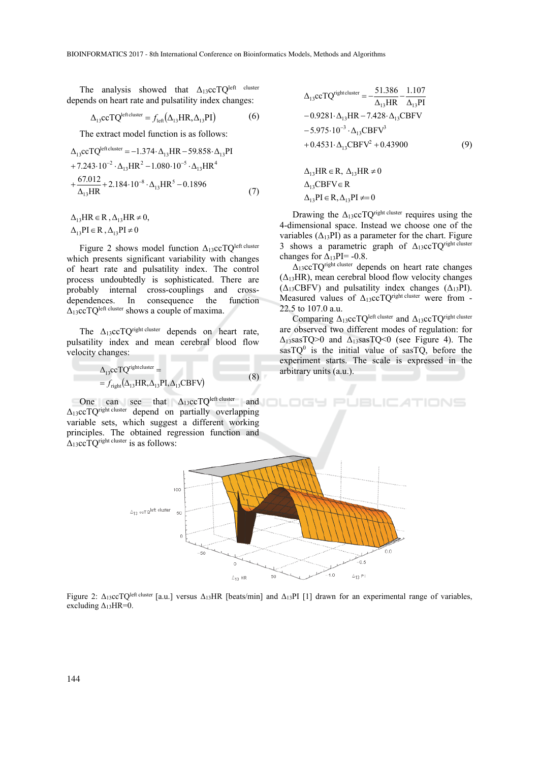The analysis showed that  $\Delta_{13}$ ccTQ<sup>left cluster</sup> depends on heart rate and pulsatility index changes:

$$
\Delta_{13} \text{cc} T Q^{\text{leftcluster}} = f_{\text{left}} (\Delta_{13} HR, \Delta_{13} PI) \tag{6}
$$

The extract model function is as follows:

$$
\Delta_{13} \text{cc} T Q^{\text{leftcluster}} = -1.374 \cdot \Delta_{13} \text{HR} - 59.858 \cdot \Delta_{13} \text{PI}
$$
  
+7.243 \cdot 10^{-2} \cdot \Delta\_{13} \text{HR}^2 - 1.080 \cdot 10^{-5} \cdot \Delta\_{13} \text{HR}^4  
+ \frac{67.012}{\Delta\_{13} \text{HR}} + 2.184 \cdot 10^{-8} \cdot \Delta\_{13} \text{HR}^5 - 0.1896 \tag{7}

 $\Delta_{13}$ PI  $\in$  R,  $\Delta_{13}$ PI  $\neq$  0  $\Delta_{13}HR \in R$ ,  $\Delta_{13}HR \neq 0$ ,

 $\mathbf{r}$  cluster

Figure 2 shows model function  $\Delta_{13}$ ccTQ<sup>left cluster</sup> which presents significant variability with changes of heart rate and pulsatility index. The control process undoubtedly is sophisticated. There are probably internal cross-couplings and crossdependences. In consequence the function  $\Delta_{13}$ ccTQ<sup>left cluster</sup> shows a couple of maxima.

The  $\Delta_{13}$ ccTQ<sup>right cluster</sup> depends on heart rate, pulsatility index and mean cerebral blood flow velocity changes:

$$
\Delta_{13} \text{ccTQ}^{\text{rightcluster}} = \n= f_{\text{right}}(\Delta_{13} \text{HR}, \Delta_{13} \text{PI}, \Delta_{13} \text{CBFV})
$$
\n(8)

One can see that  $\Delta_{13}$ ccTQ<sup>left cluster</sup> and  $\Delta$ 13ccTO<sup>right cluster</sup> depend on partially overlapping variable sets, which suggest a different working principles. The obtained regression function and  $\Delta$ <sub>13</sub>ccTO<sup>right cluster</sup> is as follows:

$$
\Delta_{13} \text{cc} T Q^{\text{rightcluster}} = -\frac{51.386}{\Delta_{13} HR} - \frac{1.107}{\Delta_{13} PI} \n-0.9281 \cdot \Delta_{13} HR -7.428 \cdot \Delta_{13} CBFV \n-5.975 \cdot 10^{-3} \cdot \Delta_{13} CBFV^3 \n+0.4531 \cdot \Delta_{13} CBFV^2 + 0.43900
$$
\n(9)  
\n
$$
\Delta_{13} HR \in R, \ \Delta_{13} HR \neq 0 \n\Delta_{13} CBFV \in R
$$

Drawing the  $\Delta_{13}$ ccTQ<sup>right cluster</sup> requires using the 4-dimensional space. Instead we choose one of the variables  $(\Delta_{13}PI)$  as a parameter for the chart. Figure 3 shows a parametric graph of  $\Delta_{13}$ ccTQ<sup>right cluster</sup> changes for  $\Delta_{13}$ PI= -0.8.

 $\Delta_{13}$ PI  $\in$  R,  $\Delta_{13}$ PI  $\neq$  = 0

 $\Delta_1$ 3ccTQ<sup>right cluster</sup> depends on heart rate changes  $(\Delta_{13}HR)$ , mean cerebral blood flow velocity changes  $(\Delta_{13}CBFV)$  and pulsatility index changes  $(\Delta_{13}PI)$ . Measured values of  $\Delta_{13}$ ccTQ<sup>right cluster</sup> were from -22.5 to 107.0 a.u.

Comparing  $\Delta_1$ 3ccTQ<sup>left cluster</sup> and  $\Delta_1$ 3ccTQ<sup>right cluster</sup> are observed two different modes of regulation: for  $\Delta_{13}$ sasTQ>0 and  $\Delta_{13}$ sasTQ<0 (see Figure 4). The  $sasTQ<sup>0</sup>$  is the initial value of sasTQ, before the experiment starts. The scale is expressed in the arbitrary units (a.u.).



Figure 2: Δ<sub>13</sub>ccTQ<sup>left cluster</sup> [a.u.] versus Δ<sub>13</sub>HR [beats/min] and Δ<sub>13</sub>PI [1] drawn for an experimental range of variables, excluding  $\Delta_{13}HR=0$ .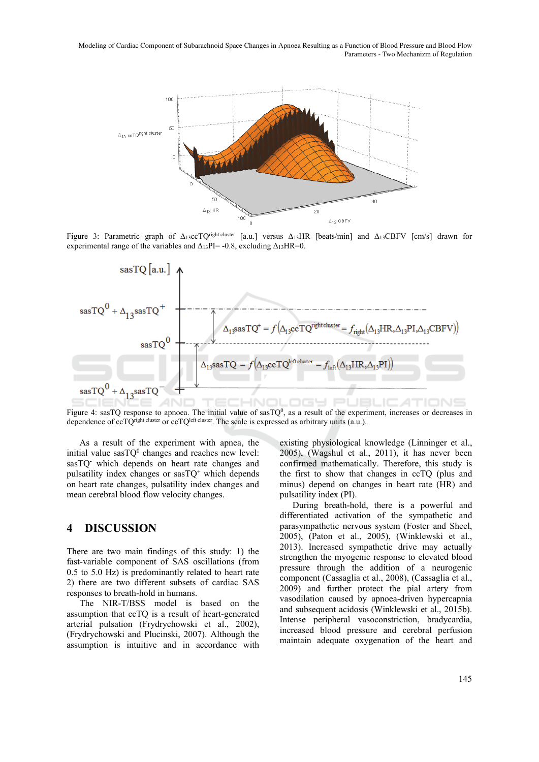Modeling of Cardiac Component of Subarachnoid Space Changes in Apnoea Resulting as a Function of Blood Pressure and Blood Flow Parameters - Two Mechanizm of Regulation



Figure 3: Parametric graph of Δ13ccTQright cluster [a.u.] versus Δ13HR [beats/min] and Δ13CBFV [cm/s] drawn for experimental range of the variables and  $\Delta_{13}$ PI= -0.8, excluding  $\Delta_{13}$ HR=0.



Figure 4: sasTQ response to apnoea. The initial value of  $sasTQ^0$ , as a result of the experiment, increases or decreases in dependence of ccTQ<sup>right cluster</sup> or ccTQ<sup>left cluster</sup>. The scale is expressed as arbitrary units (a.u.).

As a result of the experiment with apnea, the initial value  $sasTQ^0$  changes and reaches new level: sasTQ**-** which depends on heart rate changes and pulsatility index changes or  $sasTO^{+}$  which depends on heart rate changes, pulsatility index changes and mean cerebral blood flow velocity changes.

### **4 DISCUSSION**

There are two main findings of this study: 1) the fast-variable component of SAS oscillations (from 0.5 to 5.0 Hz) is predominantly related to heart rate 2) there are two different subsets of cardiac SAS responses to breath-hold in humans.

The NIR-T/BSS model is based on the assumption that ccTQ is a result of heart-generated arterial pulsation (Frydrychowski et al., 2002), (Frydrychowski and Plucinski, 2007). Although the assumption is intuitive and in accordance with existing physiological knowledge (Linninger et al., 2005), (Wagshul et al., 2011), it has never been confirmed mathematically. Therefore, this study is the first to show that changes in ccTQ (plus and minus) depend on changes in heart rate (HR) and pulsatility index (PI).

During breath-hold, there is a powerful and differentiated activation of the sympathetic and parasympathetic nervous system (Foster and Sheel, 2005), (Paton et al., 2005), (Winklewski et al., 2013). Increased sympathetic drive may actually strengthen the myogenic response to elevated blood pressure through the addition of a neurogenic component (Cassaglia et al., 2008), (Cassaglia et al., 2009) and further protect the pial artery from vasodilation caused by apnoea-driven hypercapnia and subsequent acidosis (Winklewski et al., 2015b). Intense peripheral vasoconstriction, bradycardia, increased blood pressure and cerebral perfusion maintain adequate oxygenation of the heart and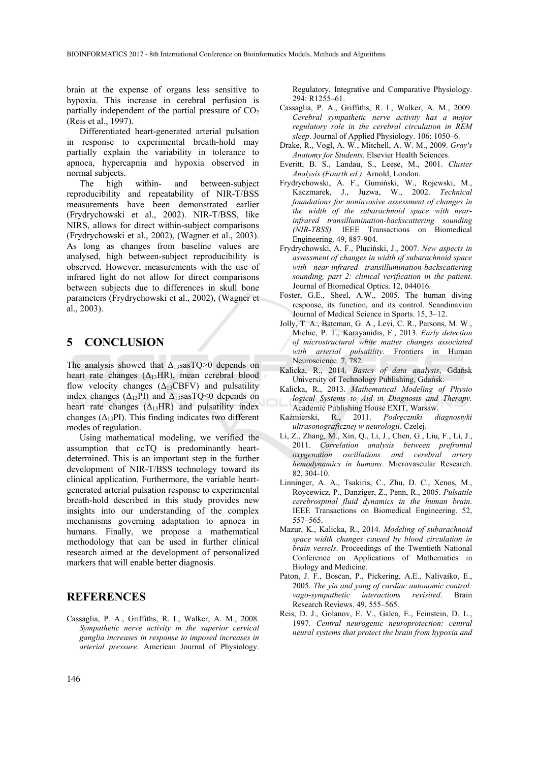brain at the expense of organs less sensitive to hypoxia. This increase in cerebral perfusion is partially independent of the partial pressure of  $CO<sub>2</sub>$ (Reis et al., 1997).

Differentiated heart-generated arterial pulsation in response to experimental breath-hold may partially explain the variability in tolerance to apnoea, hypercapnia and hypoxia observed in normal subjects.

The high within- and between-subject reproducibility and repeatability of NIR-T/BSS measurements have been demonstrated earlier (Frydrychowski et al., 2002). NIR-T/BSS, like NIRS, allows for direct within-subject comparisons (Frydrychowski et al., 2002), (Wagner et al., 2003). As long as changes from baseline values are analysed, high between-subject reproducibility is observed. However, measurements with the use of infrared light do not allow for direct comparisons between subjects due to differences in skull bone parameters (Frydrychowski et al., 2002), (Wagner et al., 2003).

### **5 CONCLUSION**

The analysis showed that  $\Delta_{13}$ sasTQ>0 depends on heart rate changes  $(\Delta_{13}HR)$ , mean cerebral blood flow velocity changes  $(\Delta_{13} CBFV)$  and pulsatility index changes ( $\Delta_{13}$ PI) and  $\Delta_{13}$ sasTQ<0 depends on heart rate changes  $(\Delta_{13}HR)$  and pulsatility index changes ( $\Delta_{13}$ PI). This finding indicates two different modes of regulation.

Using mathematical modeling, we verified the assumption that ccTQ is predominantly heartdetermined. This is an important step in the further development of NIR-T/BSS technology toward its clinical application. Furthermore, the variable heartgenerated arterial pulsation response to experimental breath-hold described in this study provides new insights into our understanding of the complex mechanisms governing adaptation to apnoea in humans. Finally, we propose a mathematical methodology that can be used in further clinical research aimed at the development of personalized markers that will enable better diagnosis.

#### **REFERENCES**

Cassaglia, P. A., Griffiths, R. I., Walker, A. M., 2008. *Sympathetic nerve activity in the superior cervical ganglia increases in response to imposed increases in arterial pressure*. American Journal of Physiology.

Regulatory, Integrative and Comparative Physiology. 294: R1255–61.

- Cassaglia, P. A., Griffiths, R. I., Walker, A. M., 2009. *Cerebral sympathetic nerve activity has a major regulatory role in the cerebral circulation in REM sleep*. Journal of Applied Physiology. 106: 1050–6.
- Drake, R., Vogl, A. W., Mitchell, A. W. M., 2009. *Gray's Anatomy for Students*. Elsevier Health Sciences.
- Everitt, B. S., Landau, S., Leese, M., 2001. *Cluster Analysis (Fourth ed.)*. Arnold, London.
- Frydrychowski, A. F., Gumiński, W., Rojewski, M., Kaczmarek, J., Juzwa, W., 2002. *Technical foundations for noninvasive assessment of changes in the width of the subarachnoid space with nearinfrared transillumination-backscattering sounding (NIR-TBSS).* IEEE Transactions on Biomedical Engineering. 49, 887-904.
- Frydrychowski, A. F., Pluciński, J., 2007. *New aspects in assessment of changes in width of subarachnoid space with near-infrared transillumination-backscattering sounding, part 2: clinical verification in the patient*. Journal of Biomedical Optics. 12, 044016.
- Foster, G.E., Sheel, A.W., 2005. The human diving response, its function, and its control. Scandinavian Journal of Medical Science in Sports. 15, 3–12.
- Jolly, T. A., Bateman, G. A., Levi, C. R., Parsons, M. W., Michie, P. T., Karayanidis, F., 2013. *Early detection of microstructural white matter changes associated with arterial pulsatility*. Frontiers in Human Neuroscience. 7, 782.
- Kalicka, R., 2014. *Basics of data analysis*, Gdańsk University of Technology Publishing, Gdańsk.
- Kalicka, R., 2013. *Mathematical Modeling of Physio logical Systems to Aid in Diagnosis and Therapy.*  Academic Publishing House EXIT, Warsaw.
- Kaźmierski, R., 2011. *Podręczniki diagnostyki ultrasonograficznej w neurologii*. Czelej.
- Li, Z., Zhang, M., Xin, Q., Li, J., Chen, G., Liu, F., Li, J., 2011. *Correlation analysis between prefrontal oxygenation oscillations and cerebral artery hemodynamics in humans*. Microvascular Research. 82, 304-10.
- Linninger, A. A., Tsakiris, C., Zhu, D. C., Xenos, M., Roycewicz, P., Danziger, Z., Penn, R., 2005. *Pulsatile cerebrospinal fluid dynamics in the human brain*. IEEE Transactions on Biomedical Engineering. 52, 557–565.
- Mazur, K., Kalicka, R., 2014. *Modeling of subarachnoid space width changes caused by blood circulation in brain vessels*. Proceedings of the Twentieth National Conference on Applications of Mathematics in Biology and Medicine.
- Paton, J. F., Boscan, P., Pickering, A.E., Nalivaiko, E., 2005. *The yin and yang of cardiac autonomic control: vago-sympathetic interactions revisited*. Brain Research Reviews. 49, 555–565.
- Reis, D. J., Golanov, E. V., Galea, E., Feinstein, D. L., 1997. *Central neurogenic neuroprotection: central neural systems that protect the brain from hypoxia and*